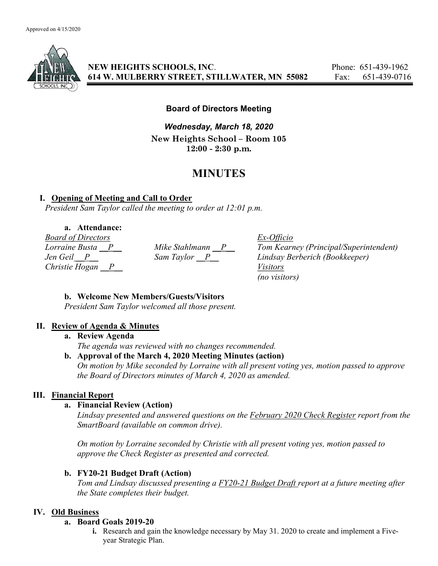

NEW HEIGHTS SCHOOLS, INC. Phone: 651-439-1962 614 W. MULBERRY STREET, STILLWATER, MN 55082 Fax: 651-439-0716

## Board of Directors Meeting

Wednesday, March 18, 2020 New Heights School – Room 105 12:00 - 2:30 p.m.

# MINUTES

## I. Opening of Meeting and Call to Order

President Sam Taylor called the meeting to order at 12:01 p.m.

## a. Attendance:

Board of Directors Ex-Officio Christie Hogan  $\overline{P}$  Visitors

Lorraine Busta  $\underline{P}$  Mike Stahlmann  $\underline{P}$  Tom Kearney (Principal/Superintendent) Jen Geil P Sam Taylor P Lindsay Berberich (Bookkeeper) (no visitors)

#### b. Welcome New Members/Guests/Visitors

President Sam Taylor welcomed all those present.

## II. Review of Agenda & Minutes

#### a. Review Agenda

The agenda was reviewed with no changes recommended.

#### b. Approval of the March 4, 2020 Meeting Minutes (action)

On motion by Mike seconded by Lorraine with all present voting yes, motion passed to approve the Board of Directors minutes of March 4, 2020 as amended.

## III. Financial Report

## a. Financial Review (Action)

Lindsay presented and answered questions on the February 2020 Check Register report from the SmartBoard (available on common drive).

On motion by Lorraine seconded by Christie with all present voting yes, motion passed to approve the Check Register as presented and corrected.

## b. FY20-21 Budget Draft (Action)

Tom and Lindsay discussed presenting a FY20-21 Budget Draft report at a future meeting after the State completes their budget.

## IV. Old Business

#### a. Board Goals 2019-20

i. Research and gain the knowledge necessary by May 31. 2020 to create and implement a Fiveyear Strategic Plan.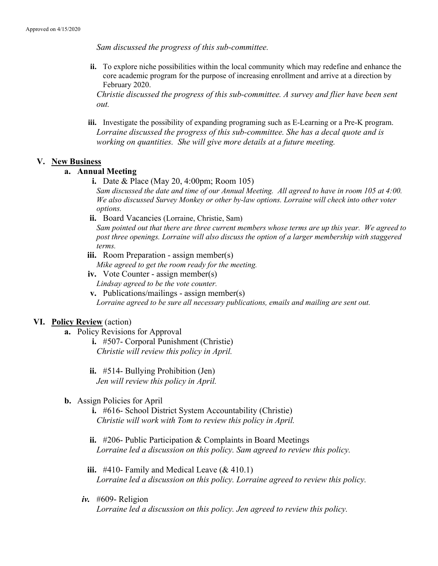Sam discussed the progress of this sub-committee.

ii. To explore niche possibilities within the local community which may redefine and enhance the core academic program for the purpose of increasing enrollment and arrive at a direction by February 2020.

Christie discussed the progress of this sub-committee. A survey and flier have been sent out.

iii. Investigate the possibility of expanding programing such as E-Learning or a Pre-K program. Lorraine discussed the progress of this sub-committee. She has a decal quote and is working on quantities. She will give more details at a future meeting.

#### V. New Business

#### a. Annual Meeting

i. Date & Place (May 20, 4:00pm; Room 105)

Sam discussed the date and time of our Annual Meeting. All agreed to have in room 105 at 4:00. We also discussed Survey Monkey or other by-law options. Lorraine will check into other voter options.

ii. Board Vacancies (Lorraine, Christie, Sam)

Sam pointed out that there are three current members whose terms are up this year. We agreed to post three openings. Lorraine will also discuss the option of a larger membership with staggered terms.

iii. Room Preparation - assign member(s)

Mike agreed to get the room ready for the meeting.

iv. Vote Counter - assign member(s) Lindsay agreed to be the vote counter.

v. Publications/mailings - assign member(s)

Lorraine agreed to be sure all necessary publications, emails and mailing are sent out.

## VI. Policy Review (action)

a. Policy Revisions for Approval

i. #507- Corporal Punishment (Christie) Christie will review this policy in April.

ii. #514- Bullying Prohibition (Jen) Jen will review this policy in April.

b. Assign Policies for April

i. #616- School District System Accountability (Christie) Christie will work with Tom to review this policy in April.

- ii.  $\#206$  Public Participation & Complaints in Board Meetings Lorraine led a discussion on this policy. Sam agreed to review this policy.
- iii.  $\#410$  Family and Medical Leave (& 410.1) Lorraine led a discussion on this policy. Lorraine agreed to review this policy.
- $iv.$  #609- Religion Lorraine led a discussion on this policy. Jen agreed to review this policy.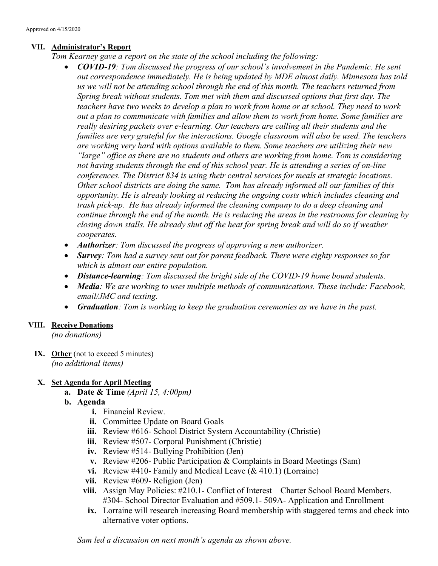## VII. Administrator's Report

- Tom Kearney gave a report on the state of the school including the following:
	- COVID-19: Tom discussed the progress of our school's involvement in the Pandemic. He sent out correspondence immediately. He is being updated by MDE almost daily. Minnesota has told us we will not be attending school through the end of this month. The teachers returned from Spring break without students. Tom met with them and discussed options that first day. The teachers have two weeks to develop a plan to work from home or at school. They need to work out a plan to communicate with families and allow them to work from home. Some families are really desiring packets over e-learning. Our teachers are calling all their students and the families are very grateful for the interactions. Google classroom will also be used. The teachers are working very hard with options available to them. Some teachers are utilizing their new "large" office as there are no students and others are working from home. Tom is considering not having students through the end of this school year. He is attending a series of on-line conferences. The District 834 is using their central services for meals at strategic locations. Other school districts are doing the same. Tom has already informed all our families of this opportunity. He is already looking at reducing the ongoing costs which includes cleaning and trash pick-up. He has already informed the cleaning company to do a deep cleaning and continue through the end of the month. He is reducing the areas in the restrooms for cleaning by closing down stalls. He already shut off the heat for spring break and will do so if weather cooperates.
	- Authorizer: Tom discussed the progress of approving a new authorizer.
	- Survey: Tom had a survey sent out for parent feedback. There were eighty responses so far which is almost our entire population.
	- Distance-learning: Tom discussed the bright side of the COVID-19 home bound students.
	- Media: We are working to uses multiple methods of communications. These include: Facebook, email/JMC and texting.
	- Graduation: Tom is working to keep the graduation ceremonies as we have in the past.

## VIII. Receive Donations

(no donations)

IX. Other (not to exceed 5 minutes) (no additional items)

## X. Set Agenda for April Meeting

- a. Date & Time  $(April 15, 4:00pm)$
- b. Agenda
	- i. Financial Review.
	- ii. Committee Update on Board Goals
	- iii. Review #616- School District System Accountability (Christie)
	- iii. Review #507- Corporal Punishment (Christie)
	- iv. Review #514- Bullying Prohibition (Jen)
	- v. Review #206- Public Participation & Complaints in Board Meetings (Sam)
	- vi. Review #410- Family and Medical Leave  $(\& 410.1)$  (Lorraine)
	- vii. Review #609- Religion (Jen)
	- viii. Assign May Policies: #210.1- Conflict of Interest Charter School Board Members. #304- School Director Evaluation and #509.1- 509A- Application and Enrollment
	- ix. Lorraine will research increasing Board membership with staggered terms and check into alternative voter options.

Sam led a discussion on next month's agenda as shown above.